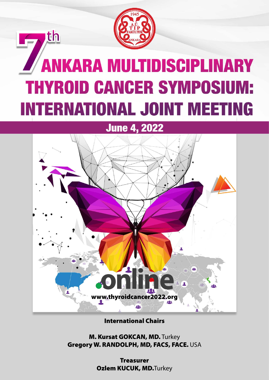



International Chairs

M. Kursat GOKCAN, MD. Turkey Gregory W. RANDOLPH, MD, FACS, FACE. USA

> Treasurer Ozlem KUCUK, MD.Turkey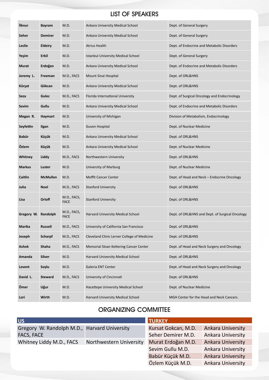## LIST OF SPEAKERS

| <b>İlknur</b>       | <b>Bayram</b>   | M.D.                       | Ankara University Medical School            | Dept. of General Surgery                        |  |
|---------------------|-----------------|----------------------------|---------------------------------------------|-------------------------------------------------|--|
| Seher               | <b>Demirer</b>  | M.D.                       | Ankara University Medical School            | Dept. of General Surgery                        |  |
| Leslie              | <b>Eldeiry</b>  | M.D.                       | <b>Atrius Health</b>                        | Dept. of Endocrine and Metabolic Disorders      |  |
| Yeşim               | Erbil           | M.D.                       | <b>Istanbul University Medical School</b>   | Dept. of General Surgery                        |  |
| Murat               | Erdoğan         | M.D.                       | Ankara University Medical School            | Dept. of Endocrine and Metabolic Disorders      |  |
| Jeremy L.           | Freeman         | M.D., FACS                 | Mount Sinai Hospital                        | Dept. of ORL&HNS                                |  |
| Kürşat              | Gökcan          | M.D.                       | Ankara University Medical School            | Dept. of ORL&HNS                                |  |
| Seza                | <b>Gulec</b>    | M.D., FACS                 | Florida International University            | Dept. of Surgical Oncology and Endocrinology    |  |
| Sevim               | Gullu           | M.D.                       | Ankara University Medical School            | Dept. of Endocrine and Metabolic Disorders      |  |
| Megan R.            | Haymart         | M.D.                       | University of Michigan                      | Division of Metabolism, Endocrinology           |  |
| Seyfettin           | Ilgan           | M.D.                       | Guven Hospital                              | Dept. of Nuclear Medicine                       |  |
| Babür               | Küçük           | M.D.                       | Ankara University Medical School            | Dept. of ORL&HNS                                |  |
| Özlem               | Küçük           | M.D.                       | Ankara University Medical School            | Dept. of Nuclear Medicine                       |  |
| Whitney             | Liddy           | M.D., FACS                 | Northwestern University                     | Dept. of ORL&HNS                                |  |
| <b>Markus</b>       | Luster          | M.D.                       | University of Marburg                       | Dept. of Nuclear Medicine                       |  |
| Caitlin             | <b>McMullen</b> | M.D.                       | Moffit Cancer Center                        | Dept. of Head and Neck - Endocrine Oncology     |  |
| Julia               | <b>Noel</b>     | M.D., FACS                 | <b>Stanford University</b>                  | Dept. of ORL&HNS                                |  |
| Lisa                | Orloff          | M.D., FACS,<br><b>FACE</b> | <b>Stanford University</b>                  | Dept. of ORL&HNS                                |  |
| Gregory W. Randolph |                 | M.D., FACS,<br><b>FACE</b> | Harvard University Medical School           | Dept. of ORL&HNS and Dept. of Surgical Oncology |  |
| Marika              | <b>Russell</b>  | M.D., FACS                 | University of California San Francisco      | Dept. of ORL&HNS                                |  |
| Joseph              | <b>Scharpf</b>  | M.D., FACS                 | Cleveland Clinic Lerner College of Medicine | Dept. of ORL&HNS                                |  |
| Ashok               | Shaha           | M.D., FACS                 | Memorial Sloan Kettering Cancer Center      | Dept. of Head and Neck Surgery and Oncology     |  |
| Amanda              | Silver          | M.D.                       | Harvard University Medical School           | Dept. of ORL&HNS                                |  |
| Levent              | Soylu           | M.D.                       | Galeria ENT Center                          | Dept. of Head and Neck Surgery and Oncology     |  |
| David L.            | <b>Steward</b>  | M.D., FACS                 | University of Cincinnati                    | Dept. of ORL&HNS                                |  |
| Ömer                | Uğur            | M.D.                       | Hacettepe University Medical School         | Dept. of Nuclear Medicine                       |  |
| Lori                | Wirth           | M.D.                       | Harvard University Medical School           | MGH Center for the Head and Neck Cancers.       |  |

## ORGANIZING COMMITTEE

| lus.                                         |                         | <b>TURKEY</b>       |                          |
|----------------------------------------------|-------------------------|---------------------|--------------------------|
| Gregory W. Randolph M.D., Harvard University |                         | Kursat Gokcan, M.D. | <b>Ankara University</b> |
| <b>FACS, FACE</b>                            |                         | Seher Demirer M.D.  | <b>Ankara University</b> |
| Whitney Liddy M.D., FACS                     | Northwestern University | Murat Erdoğan M.D.  | <b>Ankara University</b> |
|                                              |                         | Sevim Gullu M.D.    | Ankara University        |
|                                              |                         | Babür Küçük M.D.    | Ankara University        |
|                                              |                         | Özlem Küçük M.D.    | <b>Ankara University</b> |